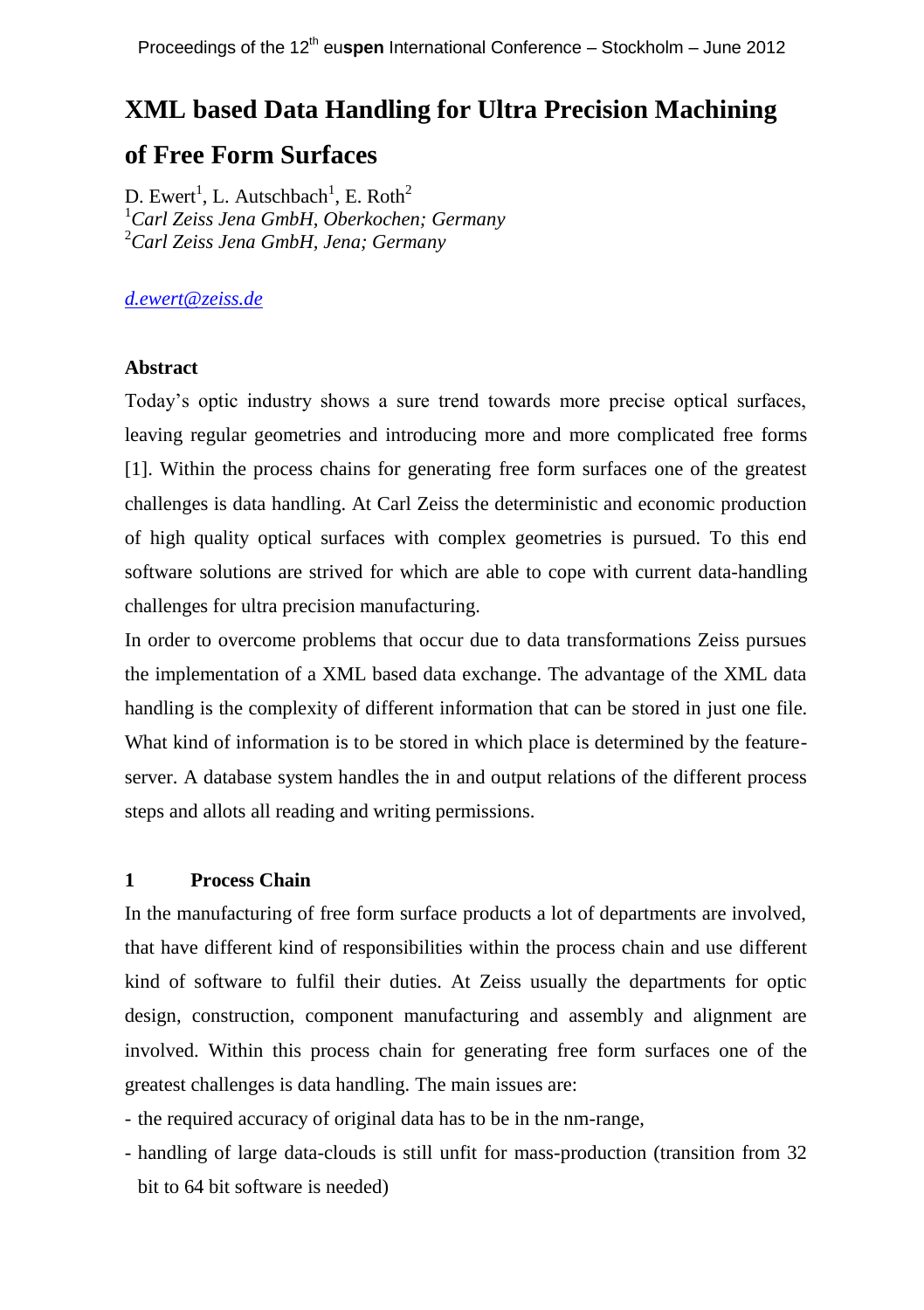# **XML based Data Handling for Ultra Precision Machining**

# **of Free Form Surfaces**

D. Ewert<sup>1</sup>, L. Autschbach<sup>1</sup>, E. Roth<sup>2</sup> <sup>1</sup>*Carl Zeiss Jena GmbH, Oberkochen; Germany* <sup>2</sup>*Carl Zeiss Jena GmbH, Jena; Germany*

# *[d.ewert@zeiss.de](mailto:d.ewert@zeiss.de)*

### **Abstract**

Today's optic industry shows a sure trend towards more precise optical surfaces, leaving regular geometries and introducing more and more complicated free forms [1]. Within the process chains for generating free form surfaces one of the greatest challenges is data handling. At Carl Zeiss the deterministic and economic production of high quality optical surfaces with complex geometries is pursued. To this end software solutions are strived for which are able to cope with current data-handling challenges for ultra precision manufacturing.

In order to overcome problems that occur due to data transformations Zeiss pursues the implementation of a XML based data exchange. The advantage of the XML data handling is the complexity of different information that can be stored in just one file. What kind of information is to be stored in which place is determined by the featureserver. A database system handles the in and output relations of the different process steps and allots all reading and writing permissions.

# **1 Process Chain**

In the manufacturing of free form surface products a lot of departments are involved, that have different kind of responsibilities within the process chain and use different kind of software to fulfil their duties. At Zeiss usually the departments for optic design, construction, component manufacturing and assembly and alignment are involved. Within this process chain for generating free form surfaces one of the greatest challenges is data handling. The main issues are:

- the required accuracy of original data has to be in the nm-range,

- handling of large data-clouds is still unfit for mass-production (transition from 32 bit to 64 bit software is needed)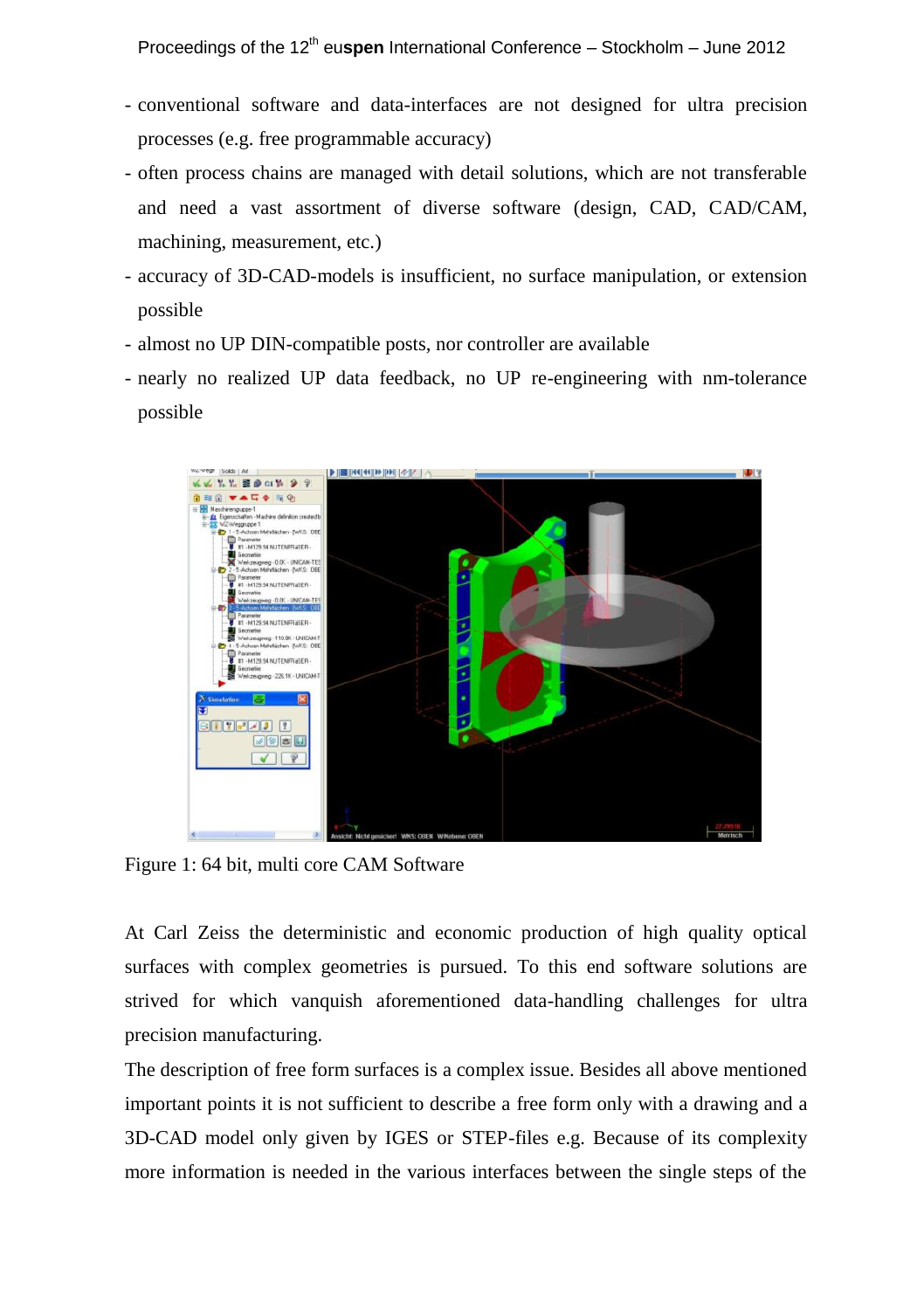- conventional software and data-interfaces are not designed for ultra precision processes (e.g. free programmable accuracy)
- often process chains are managed with detail solutions, which are not transferable and need a vast assortment of diverse software (design, CAD, CAD/CAM, machining, measurement, etc.)
- accuracy of 3D-CAD-models is insufficient, no surface manipulation, or extension possible
- almost no UP DIN-compatible posts, nor controller are available
- nearly no realized UP data feedback, no UP re-engineering with nm-tolerance possible



Figure 1: 64 bit, multi core CAM Software

At Carl Zeiss the deterministic and economic production of high quality optical surfaces with complex geometries is pursued. To this end software solutions are strived for which vanquish aforementioned data-handling challenges for ultra precision manufacturing.

The description of free form surfaces is a complex issue. Besides all above mentioned important points it is not sufficient to describe a free form only with a drawing and a 3D-CAD model only given by IGES or STEP-files e.g. Because of its complexity more information is needed in the various interfaces between the single steps of the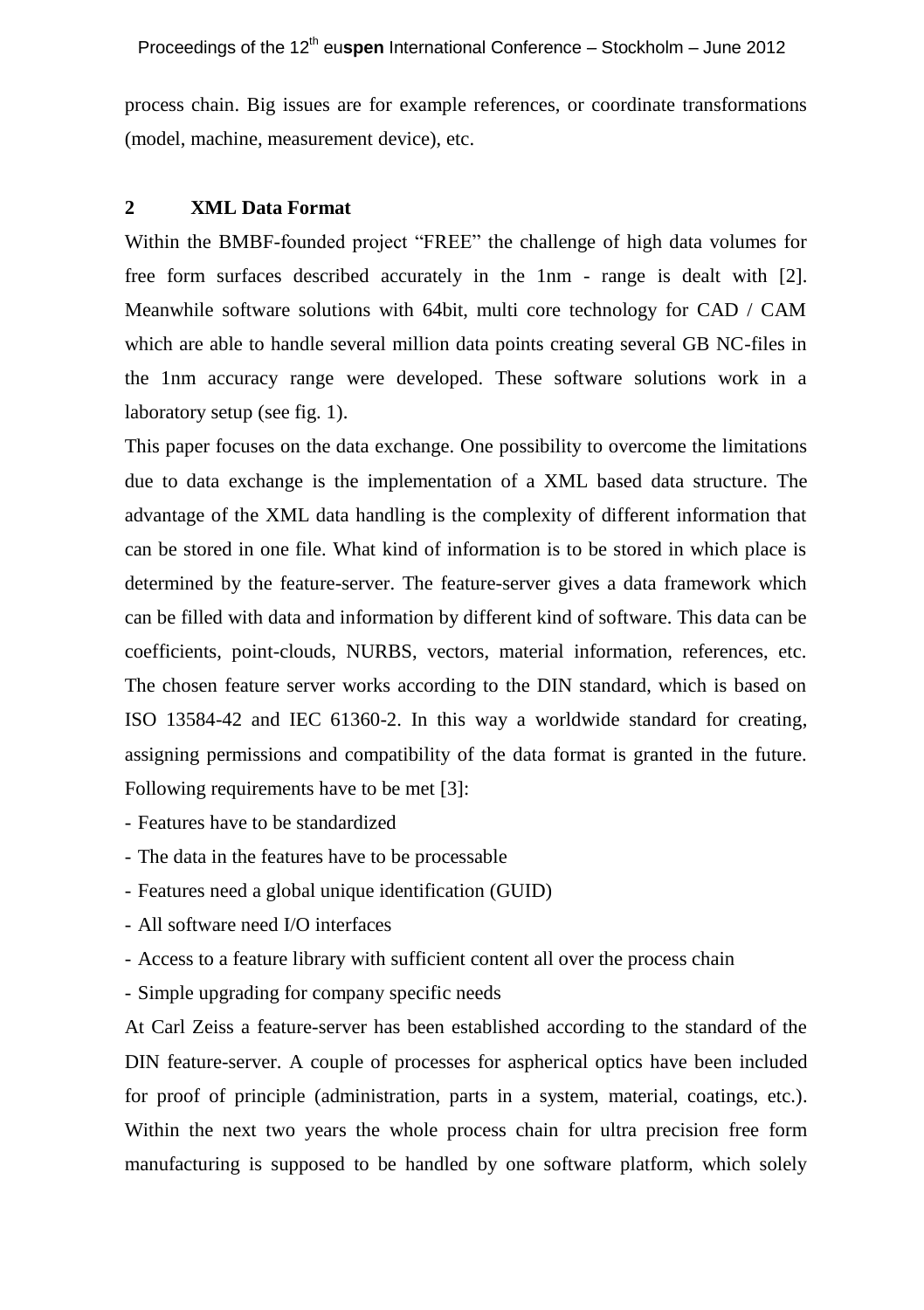process chain. Big issues are for example references, or coordinate transformations (model, machine, measurement device), etc.

#### **2 XML Data Format**

Within the BMBF-founded project "FREE" the challenge of high data volumes for free form surfaces described accurately in the 1nm - range is dealt with [2]. Meanwhile software solutions with 64bit, multi core technology for CAD / CAM which are able to handle several million data points creating several GB NC-files in the 1nm accuracy range were developed. These software solutions work in a laboratory setup (see fig. 1).

This paper focuses on the data exchange. One possibility to overcome the limitations due to data exchange is the implementation of a XML based data structure. The advantage of the XML data handling is the complexity of different information that can be stored in one file. What kind of information is to be stored in which place is determined by the feature-server. The feature-server gives a data framework which can be filled with data and information by different kind of software. This data can be coefficients, point-clouds, NURBS, vectors, material information, references, etc. The chosen feature server works according to the DIN standard, which is based on ISO 13584-42 and IEC 61360-2. In this way a worldwide standard for creating, assigning permissions and compatibility of the data format is granted in the future. Following requirements have to be met [3]:

- Features have to be standardized

- The data in the features have to be processable

- Features need a global unique identification (GUID)
- All software need I/O interfaces

- Access to a feature library with sufficient content all over the process chain

- Simple upgrading for company specific needs

At Carl Zeiss a feature-server has been established according to the standard of the DIN feature-server. A couple of processes for aspherical optics have been included for proof of principle (administration, parts in a system, material, coatings, etc.). Within the next two years the whole process chain for ultra precision free form manufacturing is supposed to be handled by one software platform, which solely